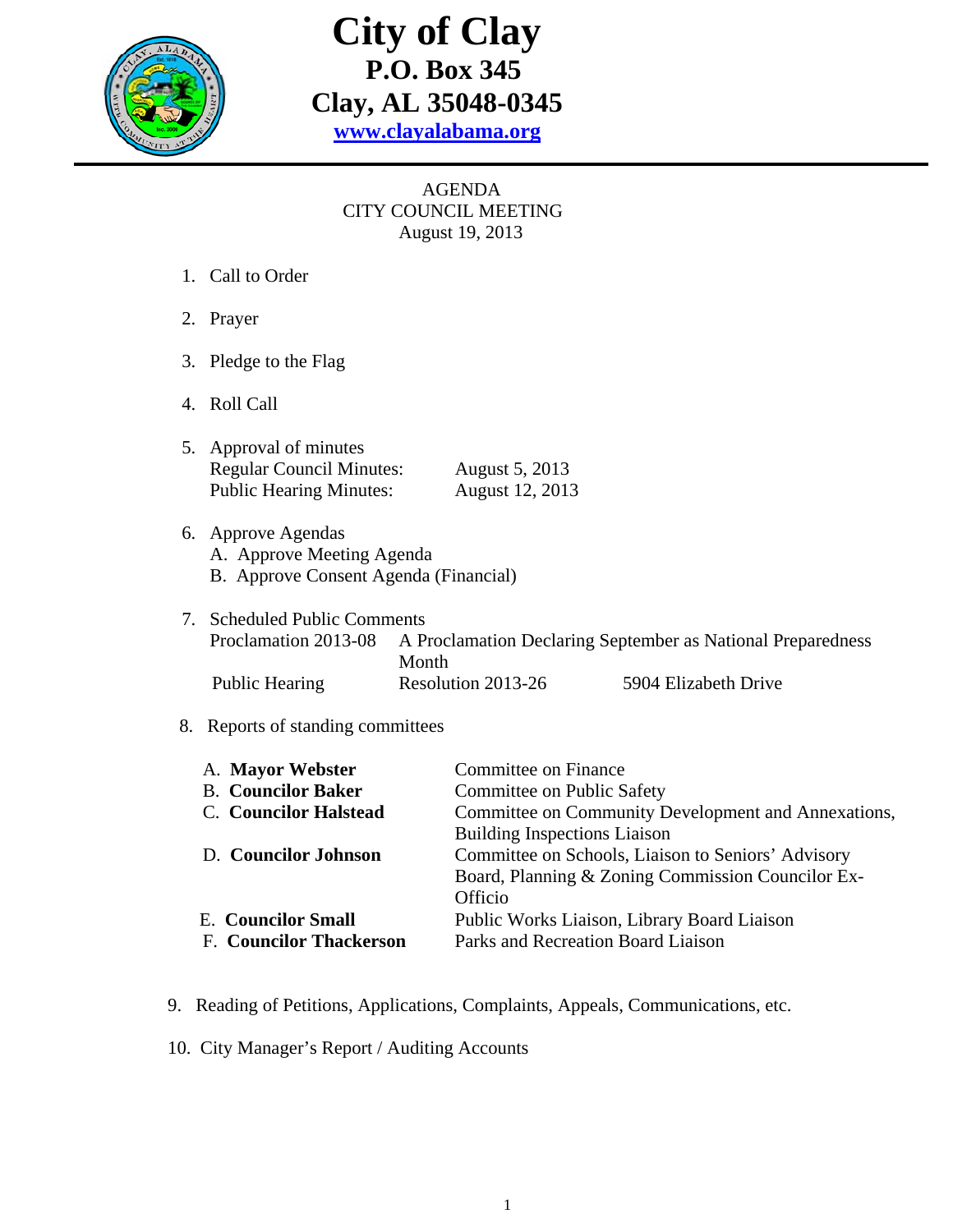

## **City of Clay P.O. Box 345 Clay, AL 35048-0345 www.clayalabama.org**

## AGENDA CITY COUNCIL MEETING August 19, 2013

- 1. Call to Order
- 2. Prayer
- 3. Pledge to the Flag
- 4. Roll Call
- 5. Approval of minutes Regular Council Minutes: August 5, 2013 Public Hearing Minutes: August 12, 2013
- 6. Approve Agendas A. Approve Meeting Agenda B. Approve Consent Agenda (Financial)
- 7. Scheduled Public Comments Proclamation 2013-08 A Proclamation Declaring September as National Preparedness Month Public Hearing Resolution 2013-26 5904 Elizabeth Drive

## 8. Reports of standing committees

| A. Mayor Webster               | Committee on Finance                                |  |
|--------------------------------|-----------------------------------------------------|--|
| <b>B.</b> Councilor Baker      | Committee on Public Safety                          |  |
| <b>C.</b> Councilor Halstead   | Committee on Community Development and Annexations, |  |
|                                | <b>Building Inspections Liaison</b>                 |  |
| D. Councilor Johnson           | Committee on Schools, Liaison to Seniors' Advisory  |  |
|                                | Board, Planning & Zoning Commission Councilor Ex-   |  |
|                                | Officio                                             |  |
| <b>E.</b> Councilor Small      | Public Works Liaison, Library Board Liaison         |  |
| <b>F. Councilor Thackerson</b> | Parks and Recreation Board Liaison                  |  |
|                                |                                                     |  |

- 9. Reading of Petitions, Applications, Complaints, Appeals, Communications, etc.
- 10. City Manager's Report / Auditing Accounts